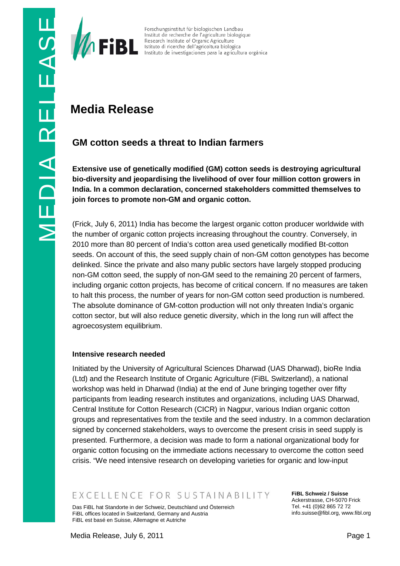

# **Media Release**

For Chungsinstitut für biologischen Landbau<br>
Institute de relaction de relaction de langicolture biologica<br>
Instituto de investigaciones para la agricultura orgánica<br>
Instituto de investigaciones para la agricultura orgáni **Extensive use of genetically modified (GM) cotton seeds is destroying agricultural bio-diversity and jeopardising the livelihood of over four million cotton growers in India. In a common declaration, concerned stakeholders committed themselves to join forces to promote non-GM and organic cotton.**

(Frick, July 6, 2011) India has become the largest organic cotton producer worldwide with the number of organic cotton projects increasing throughout the country. Conversely, in 2010 more than 80 percent of India's cotton area used genetically modified Bt-cotton seeds. On account of this, the seed supply chain of non-GM cotton genotypes has become delinked. Since the private and also many public sectors have largely stopped producing non-GM cotton seed, the supply of non-GM seed to the remaining 20 percent of farmers, including organic cotton projects, has become of critical concern. If no measures are taken to halt this process, the number of years for non-GM cotton seed production is numbered. The absolute dominance of GM-cotton production will not only threaten India's organic cotton sector, but will also reduce genetic diversity, which in the long run will affect the agroecosystem equilibrium.

## **Intensive research needed**

Initiated by the University of Agricultural Sciences Dharwad (UAS Dharwad), bioRe India (Ltd) and the Research Institute of Organic Agriculture (FiBL Switzerland), a national workshop was held in Dharwad (India) at the end of June bringing together over fifty participants from leading research institutes and organizations, including UAS Dharwad, Central Institute for Cotton Research (CICR) in Nagpur, various Indian organic cotton groups and representatives from the textile and the seed industry. In a common declaration signed by concerned stakeholders, ways to overcome the present crisis in seed supply is presented. Furthermore, a decision was made to form a national organizational body for organic cotton focusing on the immediate actions necessary to overcome the cotton seed crisis. "We need intensive research on developing varieties for organic and low-input

## EXCELLENCE FOR SUSTAINABILITY

Das FiBL hat Standorte in der Schweiz, Deutschland und Österreich FiBL offices located in Switzerland, Germany and Austria FiBL est basé en Suisse, Allemagne et Autriche

**FiBL Schweiz / Suisse** Ackerstrasse, CH-5070 Frick Tel. +41 (0)62 865 72 72 info.suisse@fibl.org, www.fibl.org